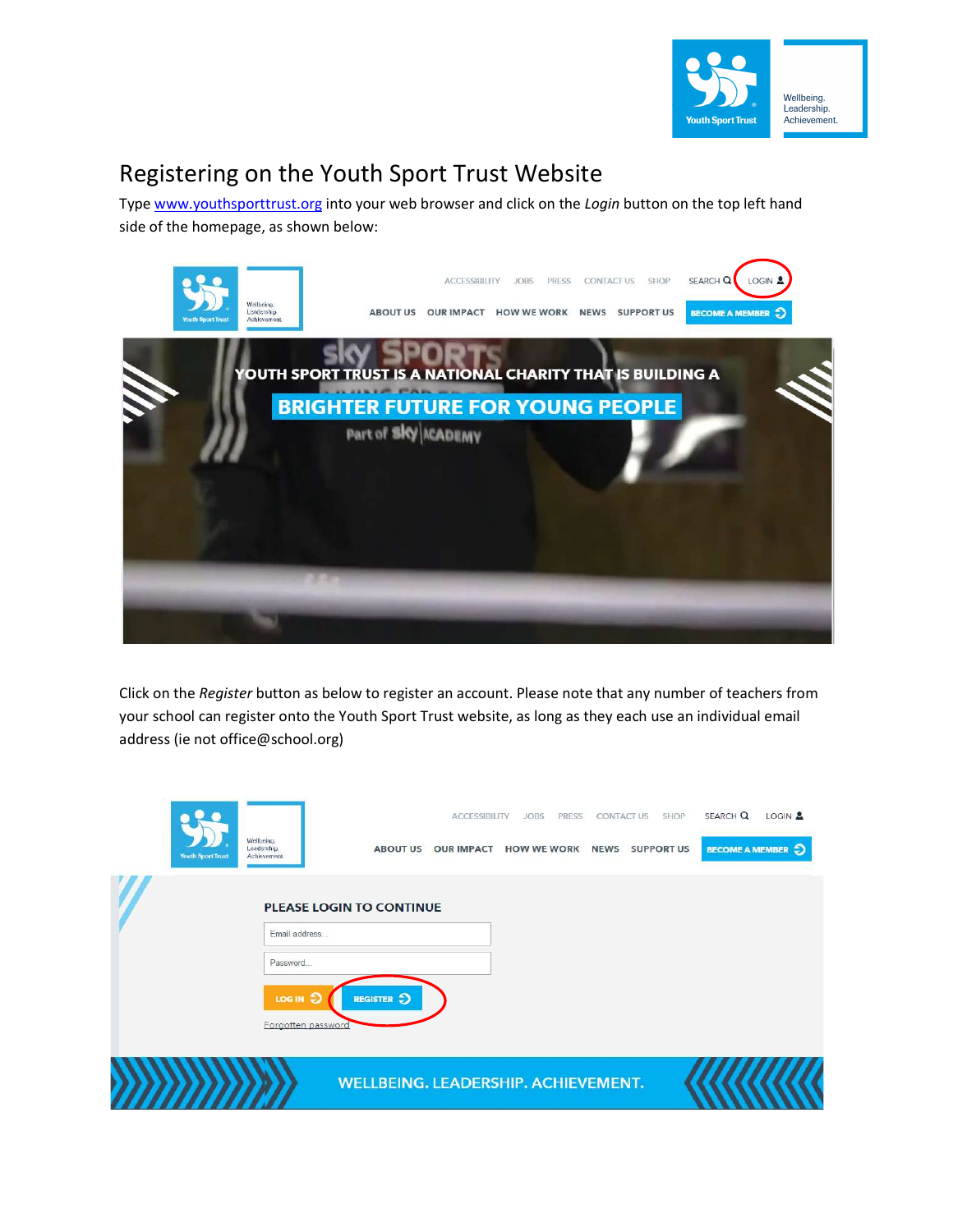

## Registering on the Youth Sport Trust Website

Type www.youthsporttrust.org into your web browser and click on the Login button on the top left hand side of the homepage, as shown below:



Click on the Register button as below to register an account. Please note that any number of teachers from your school can register onto the Youth Sport Trust website, as long as they each use an individual email address (ie not office@school.org)

|                          |                                          |                                            | <b>ACCESSIBILITY</b> | <b>JOBS</b><br>PRESS | <b>CONTACT US</b> | SHOP              | SEARCH Q                 | LOGIN <sup>2</sup> |
|--------------------------|------------------------------------------|--------------------------------------------|----------------------|----------------------|-------------------|-------------------|--------------------------|--------------------|
| <b>Youth Sport Trust</b> | Wellbeing.<br>Leadership.<br>Achievement | <b>ABOUT US</b>                            | <b>OUR IMPACT</b>    | <b>HOW WE WORK</b>   | <b>NEWS</b>       | <b>SUPPORT US</b> | <b>BECOME A MEMBER 5</b> |                    |
|                          |                                          | <b>PLEASE LOGIN TO CONTINUE</b>            |                      |                      |                   |                   |                          |                    |
|                          | Email address                            |                                            |                      |                      |                   |                   |                          |                    |
|                          | Password                                 |                                            |                      |                      |                   |                   |                          |                    |
|                          | LOG IN 5<br>Forgotten password           | REGISTER 5                                 |                      |                      |                   |                   |                          |                    |
|                          |                                          | <b>WELLBEING. LEADERSHIP. ACHIEVEMENT.</b> |                      |                      |                   |                   |                          |                    |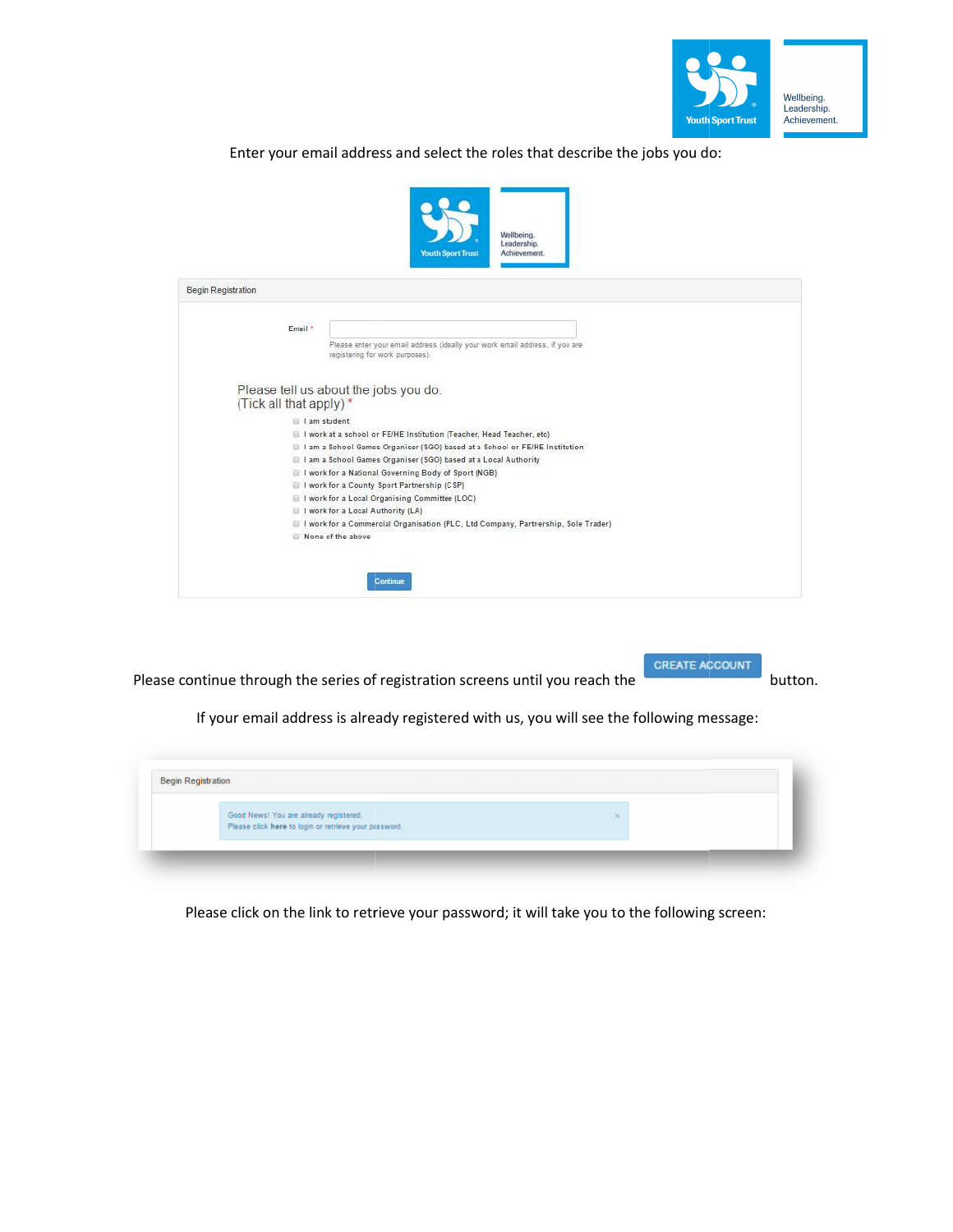

Enter your email address and select the roles that describe the jobs you do:

|                                        | Enter your email address and select the roles that describe the jobs you do:<br>Wellbeing.<br>Leadership.<br><b>Youth Sport Trust</b><br>Achievement. |
|----------------------------------------|-------------------------------------------------------------------------------------------------------------------------------------------------------|
| Begin Registration                     |                                                                                                                                                       |
| Email *                                | Please enter your email address (ideally your work email address, if you are<br>registering for work purposes).                                       |
|                                        | Please tell us about the jobs you do.                                                                                                                 |
| (Tick all that apply)*                 | I am student                                                                                                                                          |
|                                        | I work at a school or FE/HE Institution (Teacher, Head Teacher, etc)                                                                                  |
|                                        | I am a School Games Organiser (SGO) based at a School or FE/HE Institution<br>I am a School Games Organiser (SGO) based at a Local Authority          |
|                                        | I I work for a National Governing Body of Sport (NGB)                                                                                                 |
|                                        | I I work for a County Sport Partnership (CSP)<br>I I work for a Local Organising Committee (LOC)                                                      |
|                                        | I work for a Local Authority (LA)                                                                                                                     |
|                                        | I I work for a Commercial Organisation (PLC, Ltd Company, Partnership, Sole Trader)<br>None of the above                                              |
|                                        |                                                                                                                                                       |
|                                        | Continue                                                                                                                                              |
|                                        |                                                                                                                                                       |
|                                        | <b>CREATE ACCOUNT</b><br>continue through the series of registration screens until you reach the<br>button.                                           |
|                                        | If your email address is already registered with us, you will see the following message:                                                              |
|                                        |                                                                                                                                                       |
| in Registration                        |                                                                                                                                                       |
|                                        |                                                                                                                                                       |
| Good News! You are already registered. | Please click here to login or retrieve your password.                                                                                                 |
|                                        |                                                                                                                                                       |
|                                        |                                                                                                                                                       |
|                                        |                                                                                                                                                       |
|                                        |                                                                                                                                                       |
|                                        | Please click on the link to retrieve your password; it will take you to the following screen:                                                         |

Please continue through the series of registration screens until you reach the **Continuation** button.

| <b>Begin Registration</b> |                                                                                                 |
|---------------------------|-------------------------------------------------------------------------------------------------|
|                           | Good News! You are already registered.<br>Please click here to login or retrieve your password. |
|                           |                                                                                                 |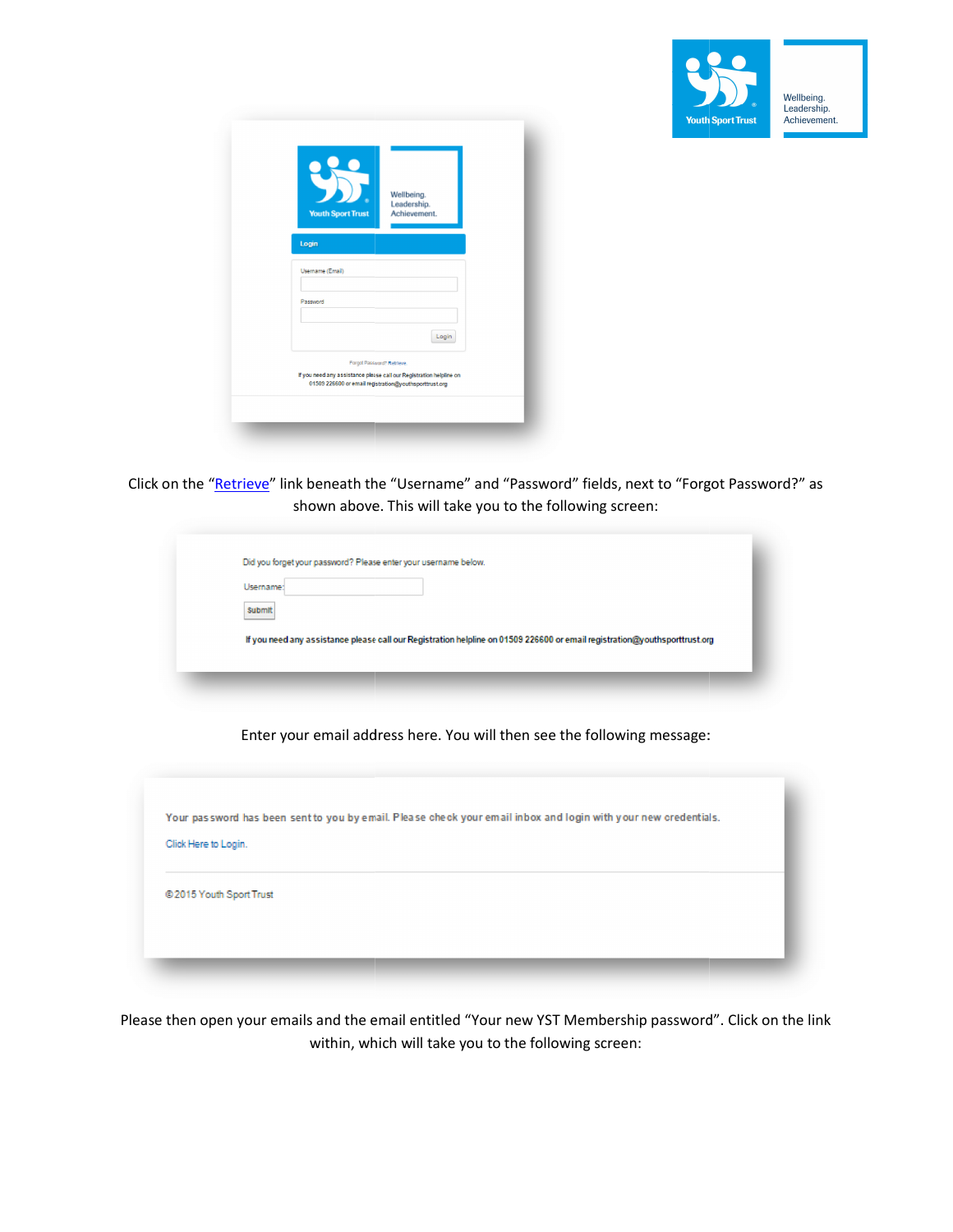

| <b>Youth Sport Trust</b> | Wellbeing.<br>Leadership.<br>Achievement.                                                                                                                   |
|--------------------------|-------------------------------------------------------------------------------------------------------------------------------------------------------------|
| Login                    |                                                                                                                                                             |
| Username (Email)         |                                                                                                                                                             |
| Password                 |                                                                                                                                                             |
|                          | Login                                                                                                                                                       |
|                          | Forgot Password? Retrieve.<br>If you need any assistance please call our Registration helpline on<br>01509 226600 or email registration@youthsporttrust.org |

Click on the "<u>Retrieve</u>" link beneath the "Username" and "Password" fields, next to "Forgot Password?" as<br>shown above. This will take you to the following screen: shown above. This will take you to the following screen:

| Username: |                                                                                                                            |  |  |
|-----------|----------------------------------------------------------------------------------------------------------------------------|--|--|
|           |                                                                                                                            |  |  |
| Submit    |                                                                                                                            |  |  |
|           |                                                                                                                            |  |  |
|           | If you need any assistance please call our Registration helpline on 01509 226600 or email registration@youthsporttrust.org |  |  |

Enter your email address here. You will then see the following message:



Please then open your emails and the email entitled "Your new YST Membership password". Click on the link within, which will take you to the following screen: